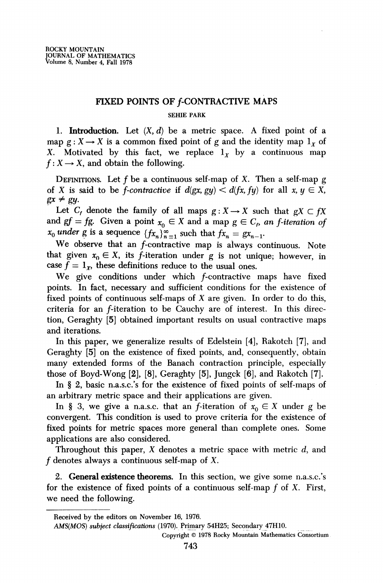## FIXED POINTS OF **f-CONTRACTIVE MAPS**

### SEHIE PARK

1. **Introduction.** Let  $(X, d)$  be a metric space. A fixed point of a map  $g: X \to X$  is a common fixed point of g and the identity map  $1_x$  of X. Motivated by this fact, we replace  $l_x$  by a continuous map  $f: X \longrightarrow X$ , and obtain the following.

DEFINITIONS. Let f be a continuous self-map of X. Then a self-map g of X is said to be *f-contractive* if  $d(gx, gy) < d(fx, fy)$  for all  $x, y \in X$ ,  $gx \neq gu$ .

Let  $C_f$  denote the family of all maps  $g: X \rightarrow X$  such that  $gX \subset fX$ and  $gf = fg$ . Given a point  $x_0 \in X$  and a map  $g \in C_f$ , an *f-iteration of*  $x_0$  *under* g is a sequence  ${f(x_n)}_{n=1}^{\infty}$  such that  $fx_n = gx_{n-1}$ .

We observe that an f-contractive map is always continuous. Note that given  $x_0 \in X$ , its f-iteration under g is not unique; however, in case  $\bar{f} = 1_x$ , these definitions reduce to the usual ones.

We give conditions under which f-contractive maps have fixed points. In fact, necessary and sufficient conditions for the existence of fixed points of continuous self-maps of  $X$  are given. In order to do this, criteria for an  $f$ -iteration to be Cauchy are of interest. In this direction, Geraghty [5] obtained important results on usual contractive maps and iterations.

In this paper, we generalize results of Edelstein [4], Rakotch [7], and Geraghty [5] on the existence of fixed points, and, consequently, obtain many extended forms of the Banach contraction principle, especially those of Boyd-Wong [2], [8], Geraghty [5], Jungck [6], and Rakotch [7].

In § 2, basic n.a.s.c.'s for the existence of fixed points of self-maps of an arbitrary metric space and their applications are given.

In § 3, we give a n.a.s.c. that an f-iteration of  $x_0 \in X$  under g be convergent. This condition is used to prove criteria for the existence of fixed points for metric spaces more general than complete ones. Some applications are also considered.

Throughout this paper,  $X$  denotes a metric space with metric  $d$ , and  $f$  denotes always a continuous self-map of X.

2. **General existence theorems.** In this section, we give some n.a.s.c/s for the existence of fixed points of a continuous self-map  $f$  of  $X$ . First, we need the following.

Received by the editors on November 16, 1976.

*AMS(MOS) subject classifications* (1970). Primary 54H25; Secondary 47H10.

Copyright © 1978 Rocky Mountain Mathematics Consortium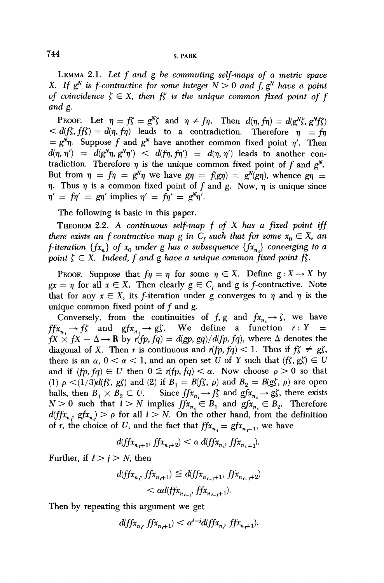LEMMA 2.1. *Let f and g he commuting self-maps of a metric space*  X. If  $g^N$  is f-contractive for some integer  $N > 0$  and f,  $g^N$  have a point *of coincidence*  $\zeta \in X$ *, then*  $f\zeta$  *is the unique common fixed point of f and g.* 

PROOF. Let  $\eta = f\zeta = g^N\zeta$  and  $\eta \neq f\eta$ . Then  $d(\eta, f\eta) = d(g^N\zeta, g^Nf\zeta)$  $d(f\zeta, ff\zeta) = d(\eta, f\eta)$  leads to a contradiction. Therefore  $\eta = f\eta$  $= g^N \eta$ . Suppose f and  $g^N$  have another common fixed point  $\eta'$ . Then  $d(\eta, \eta') = d(g^N \eta, g^N \eta') < d(f\eta, f\eta') = d(\eta, \eta')$  leads to another contradiction. Therefore  $\eta$  is the unique common fixed point of f and  $g^N$ . But from  $\eta = f\eta = g^N\eta$  we have  $g\eta = f(g\eta) = g^N(g\eta)$ , whence  $g\eta =$  $\eta$ . Thus  $\eta$  is a common fixed point of f and g. Now,  $\eta$  is unique since  $\eta' = f\eta' = g\eta'$  implies  $\eta' = f\eta' = g^N\eta'.$ 

The following is basic in this paper.

THEOREM 2.2. A *continuous self-map f of X has a fixed point iff there exists an f-contractive map g in*  $C_f$  *such that for some*  $x_0 \in X$ *, an f*-iteration  $\{fx_n\}$  of  $x_0$  under g has a subsequence  $\{fx_n\}$  converging to a *point*  $\zeta \in X$ *. Indeed, f and g have a unique common fixed point f* $\zeta$ *.* 

PROOF. Suppose that  $f\eta = \eta$  for some  $\eta \in X$ . Define  $g: X \to X$  by  $gx = \eta$  for all  $x \in X$ . Then clearly  $g \in C_f$  and g is *f*-contractive. Note that for any  $x \in X$ , its f-iteration under g converges to  $\eta$  and  $\eta$  is the unique common fixed point of  $f$  and  $g$ .

Conversely, from the continuities of  $f, g$  and  $fx_n \rightarrow \zeta$ , we have  $ffx_{n_i}\to f\zeta$  and  $gfx_{n_i}\to g\zeta$ . We define a function  $r:Y =$  $fX \times fX - \Delta \rightarrow \mathbb{R}$  by  $r(fp, fq) = d(pp, gq)/d(fp, fq)$ , where  $\Delta$  denotes the diagonal of X. Then *r* is continuous and  $r(fp, fq) < 1$ . Thus if  $f\zeta \neq gf$ , there is an  $\alpha$ ,  $0 < \alpha < 1$ , and an open set U of Y such that  $(f\zeta, g\zeta) \in U$ and if  $(fp, fq) \in U$  then  $0 \leq r(fp, fq) < \alpha$ . Now choose  $\rho > 0$  so that (I)  $\rho \langle (1/3)d(f\xi, g\xi)$  and (2) if  $B_1 = B(f\xi, \rho)$  and  $B_2 = B(g\xi, \rho)$  are open balls, then  $B_1 \times B_2 \subset U$ . Since  $ffx_{n_i} \to f\zeta$  and  $gfx_{n_i} \to g\zeta$ , there exist  $N > 0$  such that  $i > N$  implies  $f f x_{n_i} \in B_1$  and  $g f x_{n_i} \in B_2$ . Therefore  $d(f(x_n, g(x_n)) > \rho$  for all  $i > N$ . On the other hand, from the definition of r, the choice of U, and the fact that  $f(x_n) = g(x_{n-1})$ , we have

 $d(ffX_{n_i+1}, ffX_{n_i+2}) < \alpha d(ffX_{n_i}, ffX_{n_{i+1}}).$ 

Further, if  $l > j > N$ , then

$$
d(ffx_{n}, ffx_{n+1}) \leq d(ffx_{n_{\ell-1}+1}, ffx_{n_{\ell-1}+2})
$$
  
< 
$$
< \alpha d(ffx_{n_{\ell-1}}, ffx_{n_{\ell-1}+1}).
$$

Then by repeating this argument we get

 $d(ff_{x_n}, ffx_{n+1}) < \alpha^{l-j}d(ffx_{n}, ffx_{n+1}).$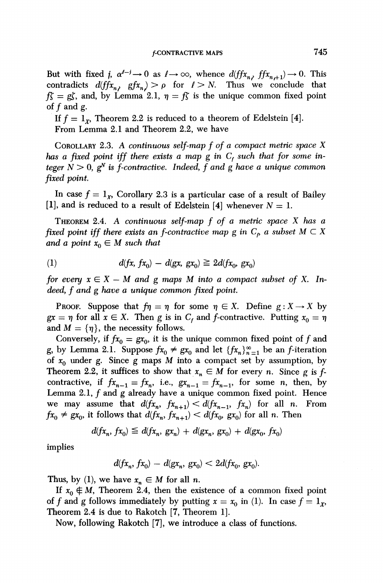But with fixed *i*,  $\alpha^{l-j} \rightarrow 0$  as  $l \rightarrow \infty$ , whence  $d(ff_{x_n}, ffx_{n+1}) \rightarrow 0$ . This contradicts  $d(fx_n, gfx_n) > \rho$  for  $l > N$ . Thus we conclude that  $f\zeta = g\zeta$ , and, by Lemma 2.1,  $\eta = f\zeta$  is the unique common fixed point of  $f$  and  $g$ .

If  $f = 1<sub>\gamma</sub>$ , Theorem 2.2 is reduced to a theorem of Edelstein [4]. From Lemma 2.1 and Theorem 2.2, we have

COROLLARY 2.3. A *continuous self-map f of a compact metric space X has a fixed point iff there exists a map* g *in C<sup>f</sup> such that for some integer*  $N > 0$ ,  $g^N$  *is f-contractive. Indeed, f and g have a unique common fixed point.* 

In case  $f = 1_x$ , Corollary 2.3 is a particular case of a result of Bailey [1], and is reduced to a result of Edelstein [4] whenever *N =* 1.

THEOREM 2.4. *A continuous self-map f of a metric space X has a fixed point iff there exists an f-contractive map g in*  $C_p$  *a subset M*  $\subset X$ *and a point*  $x_0 \in M$  *such that* 

(1) 
$$
d(fx, fx_0) - d(gx, gx_0) \ge 2d(fx_0, gx_0)
$$

*for every*  $x \in X - M$  and g maps M into a compact subset of X. In*deed, f and g have a unique common fixed point.* 

**PROOF.** Suppose that  $f\eta = \eta$  for some  $\eta \in X$ . Define  $g: X \to X$  by  $gx = \eta$  for all  $x \in X$ . Then g is in  $C_f$  and f-contractive. Putting  $x_0 = \eta$ and  $M = \{\eta\}$ , the necessity follows.

Conversely, if  $fx_0 = gx_0$ , it is the unique common fixed point of f and g, by Lemma 2.1. Suppose  $fx_0 \neq gx_0$  and let  $\{fx_n\}_{n=1}^{\infty}$  be an *f*-iteration of  $x_0$  under g. Since g maps M into a compact set by assumption, by Theorem 2.2, it suffices to show that  $x_n \in M$  for every *n*. Since g is fcontractive, if  $fx_{n-1} = fx_n$ , i.e.,  $gx_{n-1} = fx_{n-1}$ , for some *n*, then, by Lemma 2.1,  $f$  and  $g$  already have a unique common fixed point. Hence we may assume that  $d(fx_n, fx_{n+1}) < d(fx_{n-1}, fx_n)$  for all *n*. From  $fx_0 \neq gx_0$ , it follows that  $d(fx_n, fx_{n+1}) < d(fx_0, gx_0)$  for all n. Then

$$
d(fx_n, fx_0) \leq d(fx_n, gx_n) + d(gx_n, gx_0) + d(gx_0, fx_0)
$$

implies

$$
d(fx_n, fx_0) - d(gx_n, gx_0) < 2d(fx_0, gx_0).
$$

Thus, by (1), we have  $x_n \in M$  for all *n*.

If  $x_0 \notin M$ , Theorem 2.4, then the existence of a common fixed point of f and g follows immediately by putting  $x = x_0$  in (1). In case  $f = 1_x$ , Theorem 2.4 is due to Rakotch [7, Theorem 1].

Now, following Rakotch [7], we introduce a class of functions.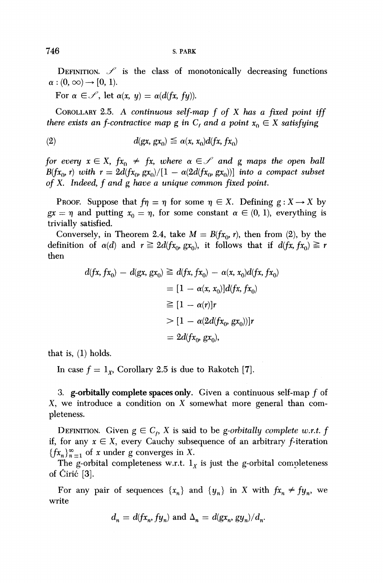DEFINITION.  $\mathscr S$  is the class of monotonically decreasing functions  $\alpha$  :  $(0, \infty) \rightarrow [0, 1)$ .

For  $\alpha \in \mathscr{S}$ , let  $\alpha(x, y) = \alpha(d(fx, fy))$ .

COROLLARY 2.5. *A continuous self-map f of X has a fixed point iff there exists an f-contractive map g in*  $C_f$  *and a point*  $x_0 \in X$  *satisfying* 

$$
d(gx, gx_0) \leq \alpha(x, x_0) d(fx, fx_0)
$$

*for every*  $x \in X$ ,  $fx_0 \neq fx$ , where  $\alpha \in \mathcal{S}$  and g maps the open ball  $B(fx_0, r)$  with  $r = 2d(fx_0, gx_0)/[1 - \alpha(2d(fx_0, gx_0))]$  into a compact subset *of* X. *Indeed, f and g have a unique common fixed point.* 

PROOF. Suppose that  $f\eta = \eta$  for some  $\eta \in X$ . Defining  $g: X \to X$  by  $gx = \eta$  and putting  $x_0 = \eta$ , for some constant  $\alpha \in (0, 1)$ , everything is trivially satisfied.

Conversely, in Theorem 2.4, take  $M = B(fx_0, r)$ , then from (2), by the definition of  $\alpha(d)$  and  $r \geq 2d(fx_0, gx_0)$ , it follows that if  $d(fx, fx_0) \geq r$ then

$$
d(fx, fx_0) - d(gx, gx_0) \geq d(fx, fx_0) - \alpha(x, x_0)d(fx, fx_0)
$$
  
=  $[1 - \alpha(x, x_0)]d(fx, fx_0)$   

$$
\geq [1 - \alpha(r)]r
$$
  

$$
> [1 - \alpha(2d(fx_0, gx_0))]r
$$
  
=  $2d(fx_0, gx_0)$ ,

that is, (1) holds.

In case  $f = 1_x$ , Corollary 2.5 is due to Rakotch [7].

3. g-orbitally complete spaces only. Given a continuous self-map  $f$  of X, we introduce a condition on X somewhat more general than completeness.

DEFINITION. Given  $g \in C_f$ , X is said to be *g-orbitally complete w.r.t.*  $f$ if, for any  $x \in X$ , every Cauchy subsequence of an arbitrary f-iteration  ${f_{x_n}}_{n=1}^{\infty}$  of x under g converges in X.

The g-orbital completeness w.r.t.  $l<sub>x</sub>$  is just the g-orbital completeness of Ciric [3].

For any pair of sequences  $\{x_n\}$  and  $\{y_n\}$  in X with  $fx_n \neq fy_n$ , we write

$$
d_n = d(fx_n, fy_n) \text{ and } \Delta_n = d(gx_n, gy_n)/d_n
$$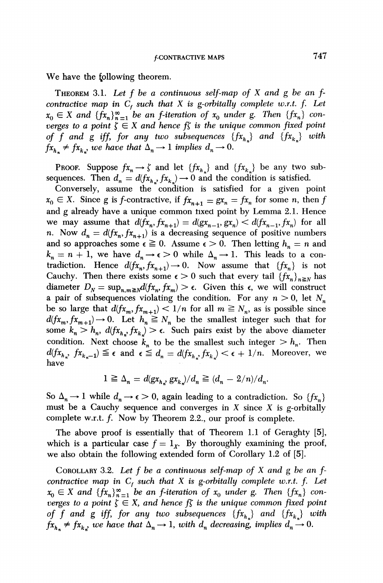We have the following theorem.

THEOREM 3.1. *Let f be a continuous self-map of X and g be an fcontractive map in*  $C_f$  *such that X is g-orbitally complete w.r.t. f. Let*  $x_0 \in X$  and  $\{fx_n\}^{\infty}_{n=1}$  be an f-iteration of  $x_0$  under g. Then  $\{fx_n\}$  con*verges to a point*  $\zeta \in X$  *and hence*  $f\zeta$  *is the unique common fixed point of f and g iff, for any two subsequences*  ${fx_h}$  and  ${fx_k}$  with  $fx_h \neq fx_k$ , we have that  $\Delta_n \rightarrow 1$  implies  $d_n \rightarrow 0$ .

**PROOF.** Suppose  $fx_n \to \zeta$  and let  $\{fx_{h_n}\}\$  and  $\{fx_{k_n}\}\$  be any two subsequences. Then  $d_n = d(f_{k_n}, f_{k_n}) \to 0$  and the condition is satisfied.

Conversely, assume the condition is satisfied for a given point  $x_0 \in X$ . Since *g* is *f*-contractive, if  $f_{x_{n+1}} = gx_n = fx_n$  for some *n*, then *f* and *g* already have a unique common tixed point by Lemma 2.1. Hence we may assume that  $d(fx_n, fx_{n+1}) = d(gx_{n-1}, gx_n) < d(fx_{n-1}, fx_n)$  for all n. Now  $d_n = d(fx_n, fx_{n+1})$  is a decreasing sequence of positive numbers and so approaches some  $\epsilon \ge 0$ . Assume  $\epsilon > 0$ . Then letting  $h_n = n$  and  $k_n = n + 1$ , we have  $d_n \to \epsilon > 0$  while  $\Delta_n \to 1$ . This leads to a contradiction. Hence  $d(fx_n, fx_{n+1}) \rightarrow 0$ . Now assume that  ${fx_n}$  is not Cauchy. Then there exists some  $\epsilon > 0$  such that every tail  $\{fx_n\}_{n \geq N}$  has diameter  $D_N = \sup_{n,m \geq N} d(fx_n, fx_m) > \epsilon$ . Given this  $\epsilon$ , we will construct a pair of subsequences violating the condition. For any  $n > 0$ , let  $N_n$ be so large that  $d(fx_m, fx_{m+1}) < 1/n$  for all  $m \ge N_n$ , as is possible since  $d(fx_m, fx_{m+1}) \rightarrow 0$ . Let  $h_n \geq N_n$  be the smallest integer such that for some  $k_n > h_n$ ,  $d(fx_{h_n}, fx_k) > \epsilon$ . Such pairs exist by the above diameter condition. Next choose  $k_n$  to be the smallest such integer  $> h_n$ . Then  $d(fx_{h_n}, fx_{k_n-1}) \leq \epsilon$  and  $\epsilon \leq d_n = d(fx_{h_n}, fx_k) < \epsilon + 1/n$ . Moreover, we have

$$
1 \geq \Delta_n = d(gx_{h_n}, gx_{k_n})/d_n \geq (d_n - 2/n)/d_n.
$$

So  $\Delta_n \rightarrow 1$  while  $d_n \rightarrow \epsilon > 0$ , again leading to a contradiction. So  $\{fx_n\}$ must be a Cauchy sequence and converges in  $X$  since  $X$  is g-orbitally complete w.r.t.  $f$ . Now by Theorem 2.2., our proof is complete.

The above proof is essentially that of Theorem 1.1 of Geraghty [5], which is a particular case  $f = 1_x$ . By thoroughly examining the proof, we also obtain the following extended form of Corollary 1.2 of [5].

COROLLARY 3.2. *Let f be a continuous self-map of X and g be an fcontractive map in*  $C_f$  *such that*  $X$  *is g-orbitally complete w.r.t. f. Let*  $x_0 \in X$  and  $\{fx_n\}_{n=1}^{\infty}$  be an f-iteration of  $x_0$  under g. Then  $\{fx_n\}$  con*verges to a point*  $\zeta \in X$ *, and hence*  $f\zeta$  *is the unique common fixed point of f and g iff, for any two subsequences*  $\{fx_{h_n}\}\$  *and*  $\{fx_{k_n}\}\$  *with*  $f_{x_h} \neq f_{x_k}$ , we have that  $\Delta_n \to 1$ , with  $d_n$  decreasing, implies  $d_n \to 0$ .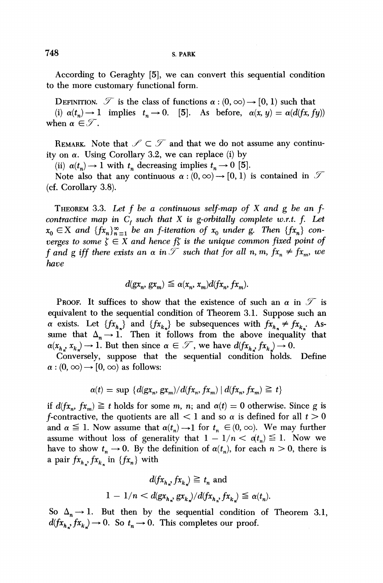According to Geraghty [5], we can convert this sequential condition to the more customary functional form.

DEFINITION.  $\mathcal T$  is the class of functions  $\alpha$  :  $(0,\infty) \rightarrow [0,1)$  such that (i)  $\alpha(t_n) \to 1$  implies  $t_n \to 0$ . [5]. As before,  $\alpha(x, y) = \alpha(d(fx, fy))$ when  $\alpha \in \mathcal{T}$ .

REMARK. Note that  $\mathscr{S} \subset \mathscr{T}$  and that we do not assume any continuity on  $\alpha$ . Using Corollary 3.2, we can replace (i) by

(ii)  $\alpha(t_n) \rightarrow 1$  with  $t_n$  decreasing implies  $t_n \rightarrow 0$  [5].

Note also that any continuous  $\alpha$  :  $(0, \infty) \rightarrow [0, 1)$  is contained in  $\mathcal T$ (cf. Corollary 3.8).

THEOREM 3.3. *Let f be a continuous self-map of X and g be an fcontractive map in*  $C_f$  *such that*  $X$  *is g-orbitally complete w.r.t. f. Let*  $x_0 \in X$  and  $\{fx_n\}^{\infty}_{n=1}$  be an f-iteration of  $x_0$  under g. Then  $\{fx_n\}$  con*verges to some*  $\zeta \in X$  *and hence*  $f\zeta$  *is the unique common fixed point of f* and g iff there exists an  $\alpha$  in  $\mathcal T$  such that for all n, m,  $fx_n \neq fx_m$ , we *have* 

$$
d(gx_n, gx_m) \leq \alpha(x_n, x_m) d(fx_n, fx_m).
$$

PROOF. It suffices to show that the existence of such an  $\alpha$  in  $\mathcal T$  is equivalent to the sequential condition of Theorem 3.1. Suppose such an *a* exists. Let  $\{fx_{h_n}\}\$  and  $\{fx_{k_n}\}\$  be subsequences with  $fx_{h_n}\neq fx_{k_n}$ . Assume that  $\Delta_n \rightarrow 1$ . Then it follows from the above inequality that  $\alpha(x_h, x_k) \to 1$ . But then since  $\alpha \in \mathcal{T}$ , we have  $d(fx_h, fx_k) \to 0$ .

Conversely, suppose that the sequential condition holds. Define  $\alpha$  :  $(0, \infty) \rightarrow [0, \infty)$  as follows:

$$
\alpha(t) = \sup \{ d(gx_n, gx_m)/d(fx_n, fx_m) | d(fx_n, fx_m) \geq t \}
$$

if  $d(fx_n, fx_m) \geq t$  holds for some m, n; and  $\alpha(t) = 0$  otherwise. Since g is *f*-contractive, the quotients are all  $\lt 1$  and so  $\alpha$  is defined for all  $t > 0$ and  $\alpha \leq 1$ . Now assume that  $\alpha(t_n) \to 1$  for  $t_n \in (0, \infty)$ . We may further assume without loss of generality that  $1 - 1/n < d_t$ <sub>n</sub>)  $\leq 1$ . Now we have to show  $t_n \to 0$ . By the definition of  $\alpha(t_n)$ , for each  $n > 0$ , there is a pair  $f x_{h_n}$ ,  $f x_{k_n}$  in  $\{f x_n\}$  with

$$
d(fx_{h_n}, fx_n) \geqq t_n \text{ and}
$$
  
 
$$
1 - 1/n < d(gx_{h_n}, gx_{h_n})/d(fx_{h_n}, fx_h) \leqq \alpha(t_n).
$$

So  $\Delta_n \rightarrow 1$ . But then by the sequential condition of Theorem 3.1,  $d(fx_{h_n}, fx_k) \to 0$ . So  $t_n \to 0$ . This completes our proof.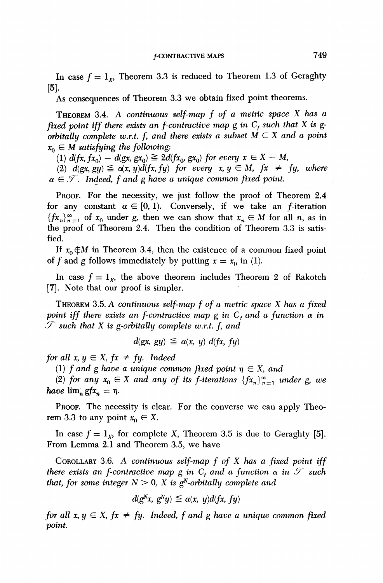In case  $f = 1_x$ , Theorem 3.3 is reduced to Theorem 1.3 of Geraghty [5].

As consequences of Theorem 3.3 we obtain fixed point theorems.

THEOREM 3.4. A *continuous self-map f of a metric space X has a*  fixed point iff there exists an f-contractive map g in  $C_f$  such that X is g*orbitally complete w.r.t.* f, and there exists a subset  $M \subset X$  and a point  $x_0 \in M$  satisfying the following:

(1)  $d(fx, fx_0) - d(gx, gx_0) \geq 2d(fx_0, gx_0)$  for every  $x \in X - M$ ,

(2)  $d(gx, gy) \leq \alpha(x, y)d(fx, fy)$  for every  $x, y \in M$ ,  $fx \neq fy$ , where  $\alpha \in \mathcal{F}$ . Indeed, f and g have a unique common fixed point.

PROOF. For the necessity, we just follow the proof of Theorem 2.4 for any constant  $\alpha \in [0, 1)$ . Conversely, if we take an f-iteration  ${f_n}^*_{n=1}^{\infty}$  of  $x_0$  under g, then we can show that  $x_n \in M$  for all n, as in the proof of Theorem 2.4. Then the condition of Theorem 3.3 is satisfied.

If  $x_0 \notin M$  in Theorem 3.4, then the existence of a common fixed point of f and g follows immediately by putting  $x = x_0$  in (1).

In case  $f = 1_x$ , the above theorem includes Theorem 2 of Rakotch [7]. Note that our proof is simpler.

THEOREM 3.5. A *continuous self-map f of a metric space X has a fixed point iff there exists an f-contractive map g in*  $C_f$  *and a function*  $\alpha$  *in <i>y* such that X is g-orbitally complete w.r.t. f, and

$$
d(gx, gy) \leq \alpha(x, y) d(fx, fy)
$$

*for all x, y*  $\in$  *X, fx*  $\neq$  *fy. Indeed* 

(1) *f* and g have a unique common fixed point  $\eta \in X$ , and

(2) for any  $x_0 \in X$  and any of its f-iterations  $\{f x_n\}_{n=1}^{\infty}$  under g, we *have*  $\lim_{n} gfx_n = \eta$ .

PROOF. The necessity is clear. For the converse we can apply Theorem 3.3 to any point  $x_0 \in X$ .

In case  $f = 1<sub>x</sub>$ , for complete X, Theorem 3.5 is due to Geraghty [5]. From Lemma 2.1 and Theorem 3.5, we have

COROLLARY 3.6. A *continuous self-map f of X has a fixed point iff*   $t$ here exists an  $f$ -contractive map  $g$  in  $C_f$  and a  $f$ unction  $\alpha$  in  $\mathscr T$  such *that, for some integer*  $N > 0$ ,  $X$  *is g*<sup>*N*</sup>-orbitally complete and

$$
d(g^Nx, g^Ny) \leq \alpha(x, y)d(fx, fy)
$$

*for all x, y*  $\in$  *X, fx*  $\neq$  *fy. Indeed, f and g have a unique common fixed point.*